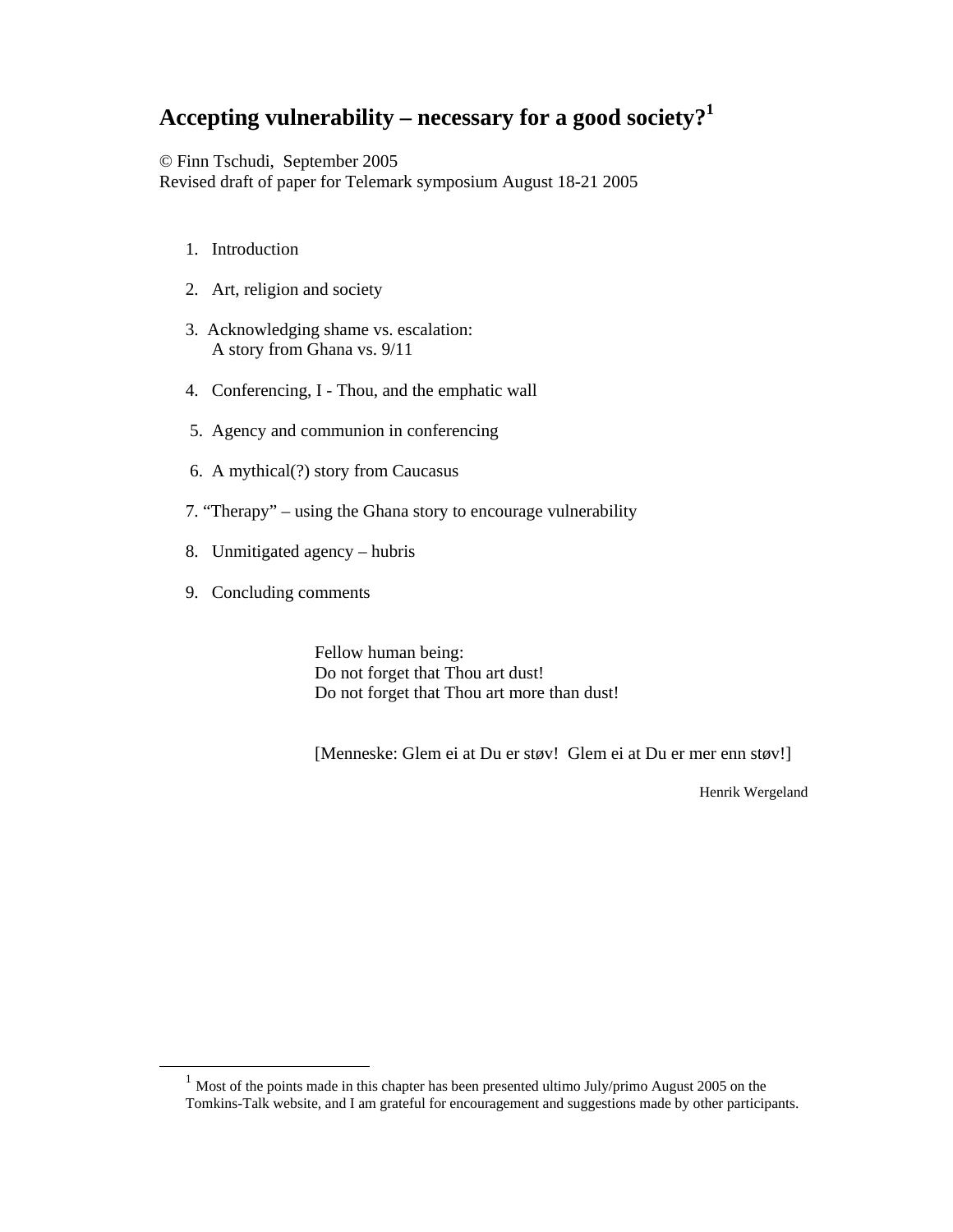# **Accepting vulnerability – necessary for a good society?1**

© Finn Tschudi, September 2005

Revised draft of paper for Telemark symposium August 18-21 2005

- 1. Introduction
- 2. Art, religion and society
- 3. Acknowledging shame vs. escalation: A story from Ghana vs. 9/11
- 4. Conferencing, I Thou, and the emphatic wall
- 5. Agency and communion in conferencing
- 6. A mythical(?) story from Caucasus
- 7. "Therapy" using the Ghana story to encourage vulnerability
- 8. Unmitigated agency hubris
- 9. Concluding comments

 Fellow human being: Do not forget that Thou art dust! Do not forget that Thou art more than dust!

[Menneske: Glem ei at Du er støv! Glem ei at Du er mer enn støv!]

Henrik Wergeland

 $1$  Most of the points made in this chapter has been presented ultimo July/primo August 2005 on the Tomkins-Talk website, and I am grateful for encouragement and suggestions made by other participants.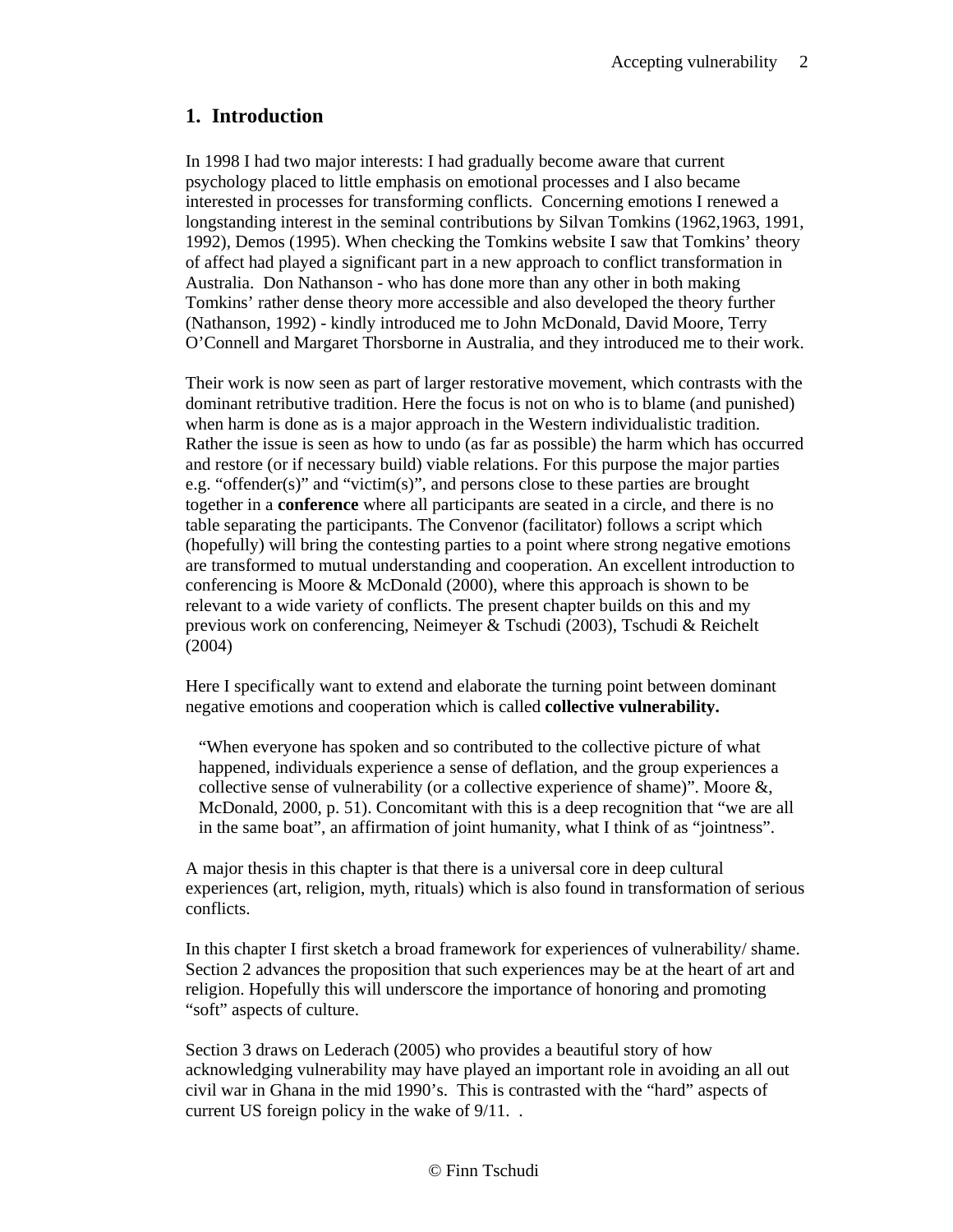### **1. Introduction**

In 1998 I had two major interests: I had gradually become aware that current psychology placed to little emphasis on emotional processes and I also became interested in processes for transforming conflicts. Concerning emotions I renewed a longstanding interest in the seminal contributions by Silvan Tomkins (1962,1963, 1991, 1992), Demos (1995). When checking the Tomkins website I saw that Tomkins' theory of affect had played a significant part in a new approach to conflict transformation in Australia. Don Nathanson - who has done more than any other in both making Tomkins' rather dense theory more accessible and also developed the theory further (Nathanson, 1992) - kindly introduced me to John McDonald, David Moore, Terry O'Connell and Margaret Thorsborne in Australia, and they introduced me to their work.

Their work is now seen as part of larger restorative movement, which contrasts with the dominant retributive tradition. Here the focus is not on who is to blame (and punished) when harm is done as is a major approach in the Western individualistic tradition. Rather the issue is seen as how to undo (as far as possible) the harm which has occurred and restore (or if necessary build) viable relations. For this purpose the major parties e.g. "offender(s)" and "victim(s)", and persons close to these parties are brought together in a **conference** where all participants are seated in a circle, and there is no table separating the participants. The Convenor (facilitator) follows a script which (hopefully) will bring the contesting parties to a point where strong negative emotions are transformed to mutual understanding and cooperation. An excellent introduction to conferencing is Moore & McDonald (2000), where this approach is shown to be relevant to a wide variety of conflicts. The present chapter builds on this and my previous work on conferencing, Neimeyer & Tschudi (2003), Tschudi & Reichelt (2004)

Here I specifically want to extend and elaborate the turning point between dominant negative emotions and cooperation which is called **collective vulnerability.** 

"When everyone has spoken and so contributed to the collective picture of what happened, individuals experience a sense of deflation, and the group experiences a collective sense of vulnerability (or a collective experience of shame)". Moore &, McDonald, 2000, p. 51). Concomitant with this is a deep recognition that "we are all in the same boat", an affirmation of joint humanity, what I think of as "jointness".

A major thesis in this chapter is that there is a universal core in deep cultural experiences (art, religion, myth, rituals) which is also found in transformation of serious conflicts.

In this chapter I first sketch a broad framework for experiences of vulnerability/ shame. Section 2 advances the proposition that such experiences may be at the heart of art and religion. Hopefully this will underscore the importance of honoring and promoting "soft" aspects of culture.

Section 3 draws on Lederach (2005) who provides a beautiful story of how acknowledging vulnerability may have played an important role in avoiding an all out civil war in Ghana in the mid 1990's. This is contrasted with the "hard" aspects of current US foreign policy in the wake of 9/11. .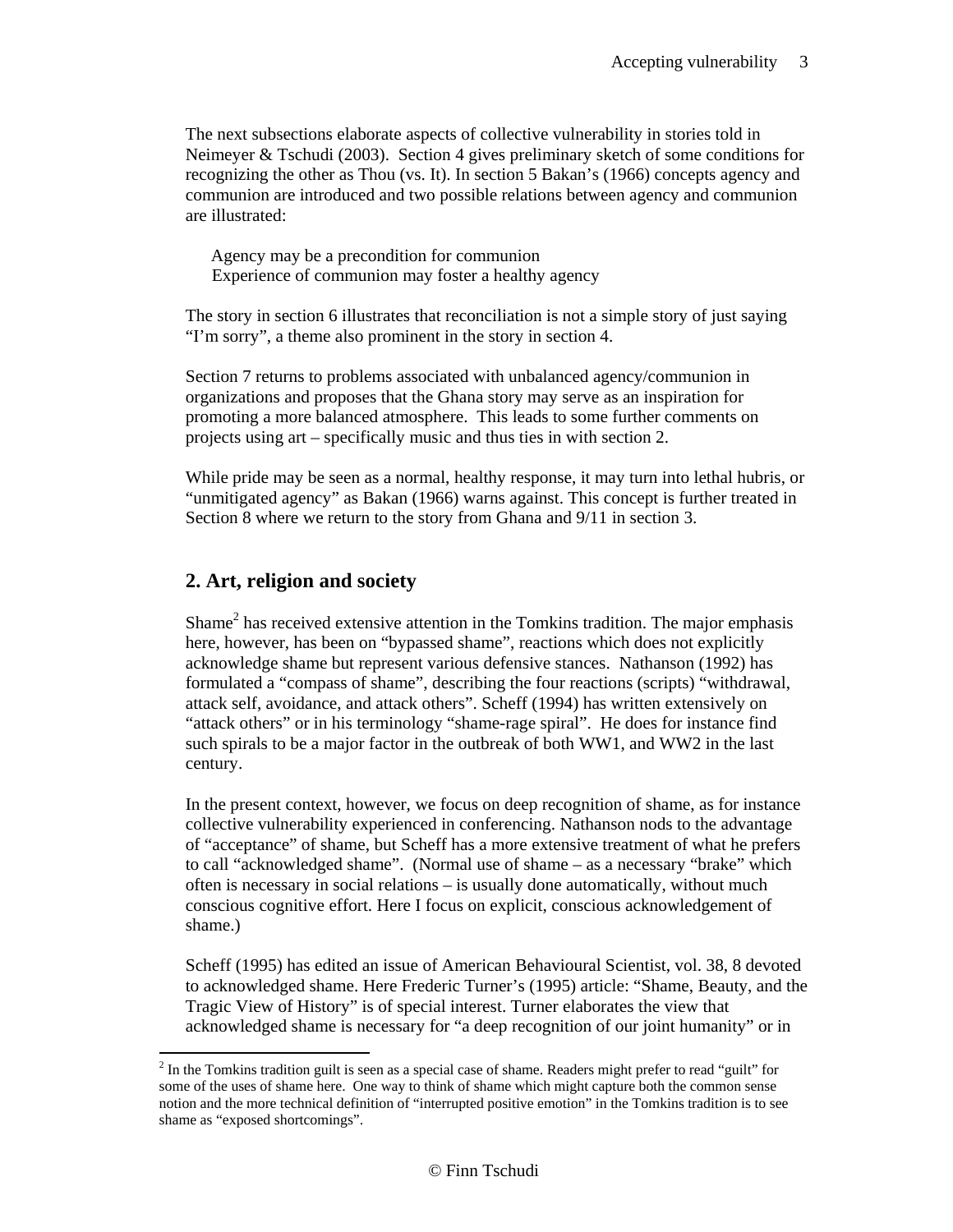The next subsections elaborate aspects of collective vulnerability in stories told in Neimeyer & Tschudi (2003). Section 4 gives preliminary sketch of some conditions for recognizing the other as Thou (vs. It). In section 5 Bakan's (1966) concepts agency and communion are introduced and two possible relations between agency and communion are illustrated:

 Agency may be a precondition for communion Experience of communion may foster a healthy agency

The story in section 6 illustrates that reconciliation is not a simple story of just saying "I'm sorry", a theme also prominent in the story in section 4.

Section 7 returns to problems associated with unbalanced agency/communion in organizations and proposes that the Ghana story may serve as an inspiration for promoting a more balanced atmosphere. This leads to some further comments on projects using art – specifically music and thus ties in with section 2.

While pride may be seen as a normal, healthy response, it may turn into lethal hubris, or "unmitigated agency" as Bakan (1966) warns against. This concept is further treated in Section 8 where we return to the story from Ghana and 9/11 in section 3.

#### **2. Art, religion and society**

Shame<sup>2</sup> has received extensive attention in the Tomkins tradition. The major emphasis here, however, has been on "bypassed shame", reactions which does not explicitly acknowledge shame but represent various defensive stances. Nathanson (1992) has formulated a "compass of shame", describing the four reactions (scripts) "withdrawal, attack self, avoidance, and attack others". Scheff (1994) has written extensively on "attack others" or in his terminology "shame-rage spiral". He does for instance find such spirals to be a major factor in the outbreak of both WW1, and WW2 in the last century.

In the present context, however, we focus on deep recognition of shame, as for instance collective vulnerability experienced in conferencing. Nathanson nods to the advantage of "acceptance" of shame, but Scheff has a more extensive treatment of what he prefers to call "acknowledged shame". (Normal use of shame – as a necessary "brake" which often is necessary in social relations – is usually done automatically, without much conscious cognitive effort. Here I focus on explicit, conscious acknowledgement of shame.)

Scheff (1995) has edited an issue of American Behavioural Scientist, vol. 38, 8 devoted to acknowledged shame. Here Frederic Turner's (1995) article: "Shame, Beauty, and the Tragic View of History" is of special interest. Turner elaborates the view that acknowledged shame is necessary for "a deep recognition of our joint humanity" or in

 $2<sup>2</sup>$  In the Tomkins tradition guilt is seen as a special case of shame. Readers might prefer to read "guilt" for some of the uses of shame here. One way to think of shame which might capture both the common sense notion and the more technical definition of "interrupted positive emotion" in the Tomkins tradition is to see shame as "exposed shortcomings".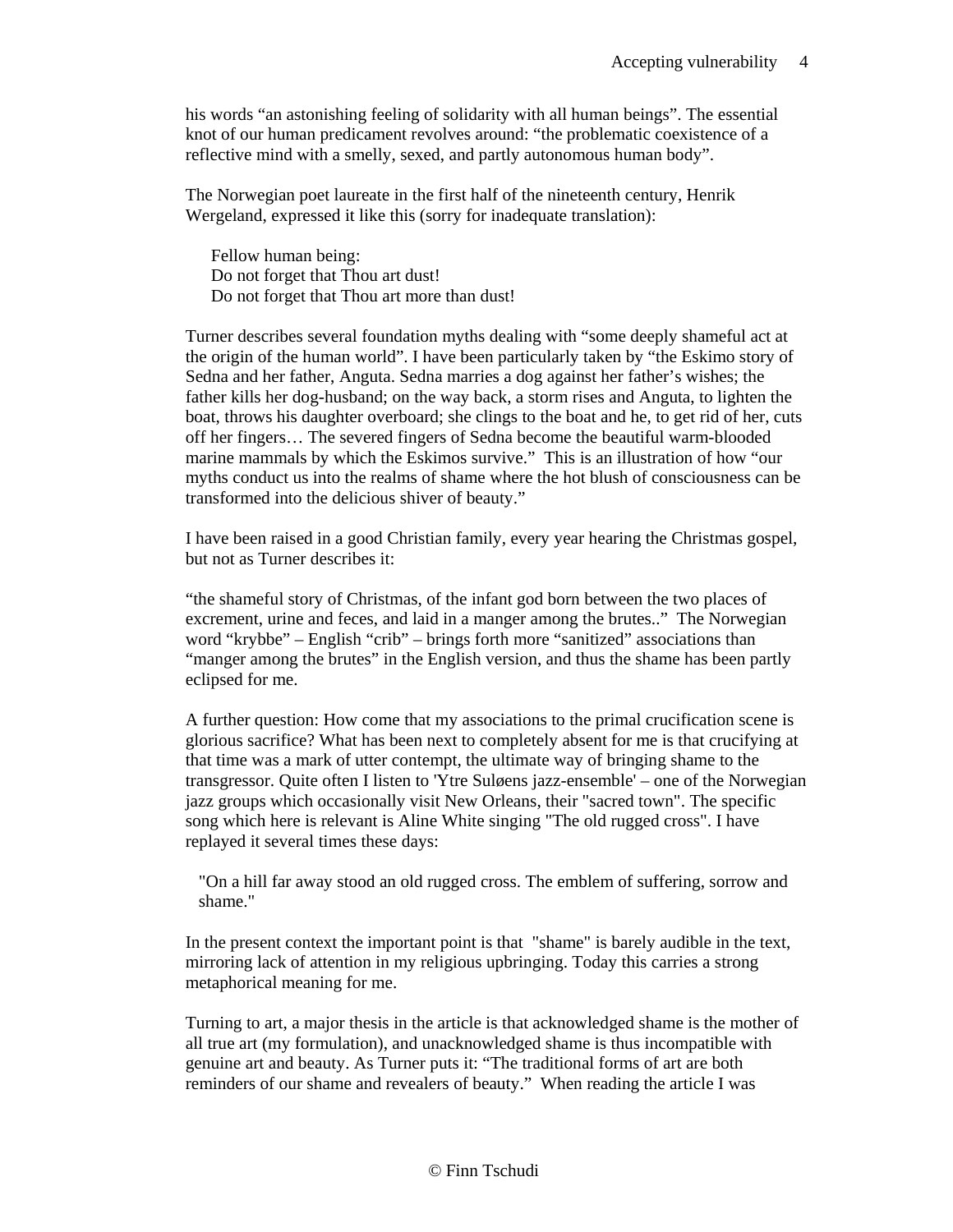his words "an astonishing feeling of solidarity with all human beings". The essential knot of our human predicament revolves around: "the problematic coexistence of a reflective mind with a smelly, sexed, and partly autonomous human body".

The Norwegian poet laureate in the first half of the nineteenth century, Henrik Wergeland, expressed it like this (sorry for inadequate translation):

 Fellow human being: Do not forget that Thou art dust! Do not forget that Thou art more than dust!

Turner describes several foundation myths dealing with "some deeply shameful act at the origin of the human world". I have been particularly taken by "the Eskimo story of Sedna and her father, Anguta. Sedna marries a dog against her father's wishes; the father kills her dog-husband; on the way back, a storm rises and Anguta, to lighten the boat, throws his daughter overboard; she clings to the boat and he, to get rid of her, cuts off her fingers… The severed fingers of Sedna become the beautiful warm-blooded marine mammals by which the Eskimos survive." This is an illustration of how "our myths conduct us into the realms of shame where the hot blush of consciousness can be transformed into the delicious shiver of beauty."

I have been raised in a good Christian family, every year hearing the Christmas gospel, but not as Turner describes it:

"the shameful story of Christmas, of the infant god born between the two places of excrement, urine and feces, and laid in a manger among the brutes.." The Norwegian word "krybbe" – English "crib" – brings forth more "sanitized" associations than "manger among the brutes" in the English version, and thus the shame has been partly eclipsed for me.

A further question: How come that my associations to the primal crucification scene is glorious sacrifice? What has been next to completely absent for me is that crucifying at that time was a mark of utter contempt, the ultimate way of bringing shame to the transgressor. Quite often I listen to 'Ytre Suløens jazz-ensemble' – one of the Norwegian jazz groups which occasionally visit New Orleans, their "sacred town". The specific song which here is relevant is Aline White singing "The old rugged cross". I have replayed it several times these days:

"On a hill far away stood an old rugged cross. The emblem of suffering, sorrow and shame."

In the present context the important point is that "shame" is barely audible in the text, mirroring lack of attention in my religious upbringing. Today this carries a strong metaphorical meaning for me.

Turning to art, a major thesis in the article is that acknowledged shame is the mother of all true art (my formulation), and unacknowledged shame is thus incompatible with genuine art and beauty. As Turner puts it: "The traditional forms of art are both reminders of our shame and revealers of beauty." When reading the article I was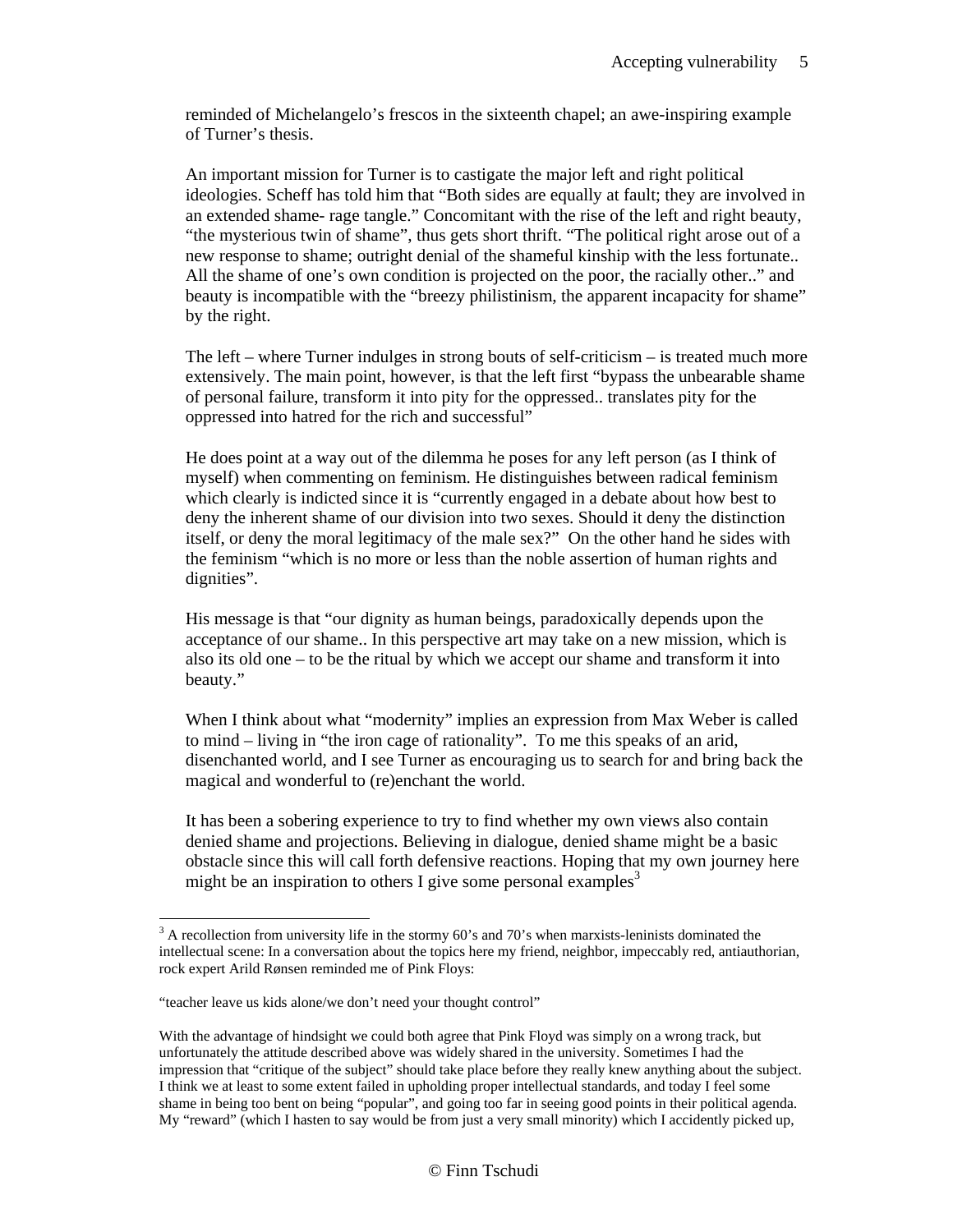reminded of Michelangelo's frescos in the sixteenth chapel; an awe-inspiring example of Turner's thesis.

An important mission for Turner is to castigate the major left and right political ideologies. Scheff has told him that "Both sides are equally at fault; they are involved in an extended shame- rage tangle." Concomitant with the rise of the left and right beauty, "the mysterious twin of shame", thus gets short thrift. "The political right arose out of a new response to shame; outright denial of the shameful kinship with the less fortunate.. All the shame of one's own condition is projected on the poor, the racially other.." and beauty is incompatible with the "breezy philistinism, the apparent incapacity for shame" by the right.

The left – where Turner indulges in strong bouts of self-criticism – is treated much more extensively. The main point, however, is that the left first "bypass the unbearable shame of personal failure, transform it into pity for the oppressed.. translates pity for the oppressed into hatred for the rich and successful"

He does point at a way out of the dilemma he poses for any left person (as I think of myself) when commenting on feminism. He distinguishes between radical feminism which clearly is indicted since it is "currently engaged in a debate about how best to deny the inherent shame of our division into two sexes. Should it deny the distinction itself, or deny the moral legitimacy of the male sex?" On the other hand he sides with the feminism "which is no more or less than the noble assertion of human rights and dignities".

His message is that "our dignity as human beings, paradoxically depends upon the acceptance of our shame.. In this perspective art may take on a new mission, which is also its old one – to be the ritual by which we accept our shame and transform it into beauty."

When I think about what "modernity" implies an expression from Max Weber is called to mind – living in "the iron cage of rationality". To me this speaks of an arid, disenchanted world, and I see Turner as encouraging us to search for and bring back the magical and wonderful to (re)enchant the world.

It has been a sobering experience to try to find whether my own views also contain denied shame and projections. Believing in dialogue, denied shame might be a basic obstacle since this will call forth defensive reactions. Hoping that my own journey here might be an inspiration to others I give some personal examples<sup>3</sup>

 $\overline{a}$ 

 $3$  A recollection from university life in the stormy 60's and 70's when marxists-leninists dominated the intellectual scene: In a conversation about the topics here my friend, neighbor, impeccably red, antiauthorian, rock expert Arild Rønsen reminded me of Pink Floys:

<sup>&</sup>quot;teacher leave us kids alone/we don't need your thought control"

With the advantage of hindsight we could both agree that Pink Floyd was simply on a wrong track, but unfortunately the attitude described above was widely shared in the university. Sometimes I had the impression that "critique of the subject" should take place before they really knew anything about the subject. I think we at least to some extent failed in upholding proper intellectual standards, and today I feel some shame in being too bent on being "popular", and going too far in seeing good points in their political agenda. My "reward" (which I hasten to say would be from just a very small minority) which I accidently picked up,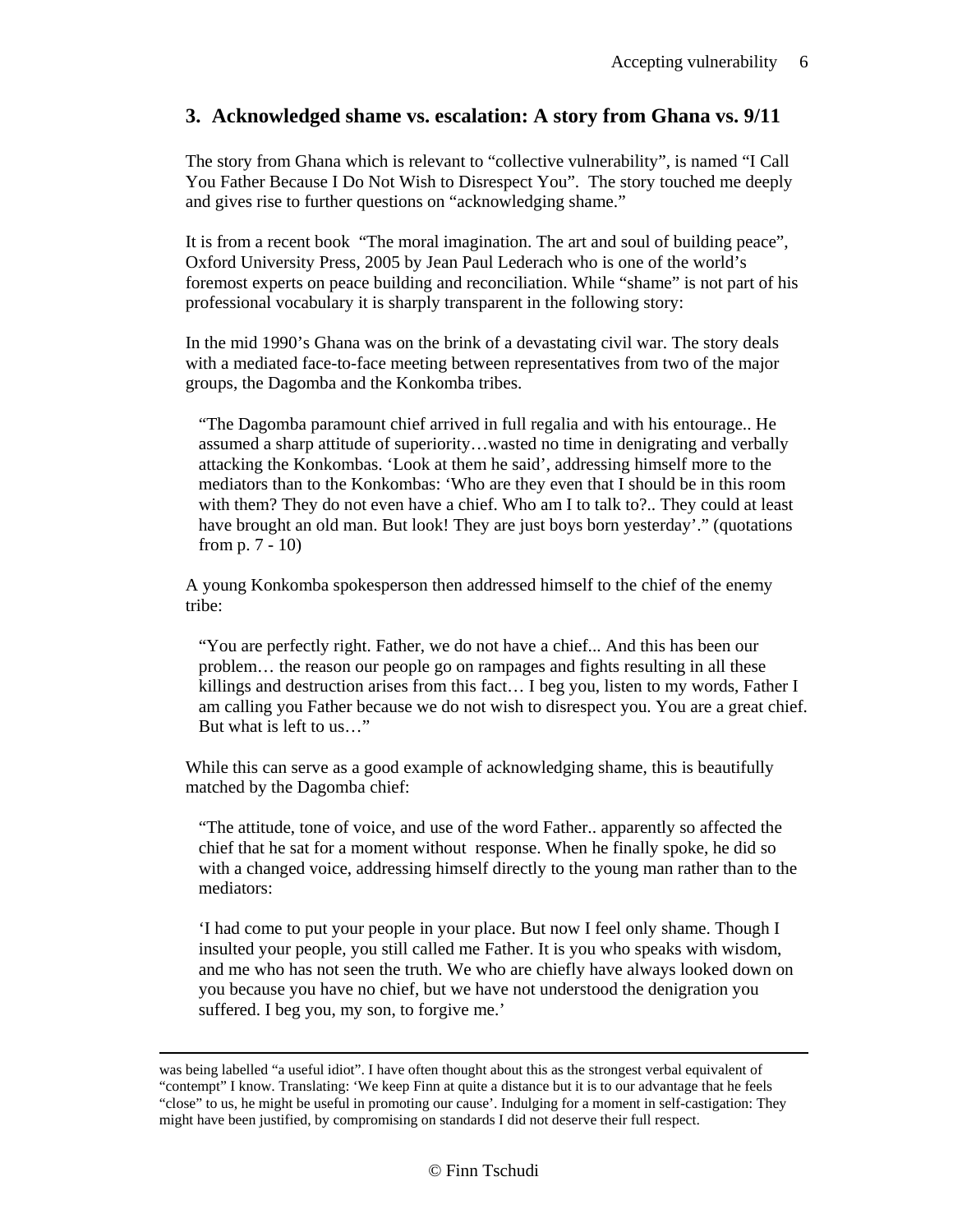#### **3. Acknowledged shame vs. escalation: A story from Ghana vs. 9/11**

The story from Ghana which is relevant to "collective vulnerability", is named "I Call You Father Because I Do Not Wish to Disrespect You". The story touched me deeply and gives rise to further questions on "acknowledging shame."

It is from a recent book "The moral imagination. The art and soul of building peace", Oxford University Press, 2005 by Jean Paul Lederach who is one of the world's foremost experts on peace building and reconciliation. While "shame" is not part of his professional vocabulary it is sharply transparent in the following story:

In the mid 1990's Ghana was on the brink of a devastating civil war. The story deals with a mediated face-to-face meeting between representatives from two of the major groups, the Dagomba and the Konkomba tribes.

"The Dagomba paramount chief arrived in full regalia and with his entourage.. He assumed a sharp attitude of superiority…wasted no time in denigrating and verbally attacking the Konkombas. 'Look at them he said', addressing himself more to the mediators than to the Konkombas: 'Who are they even that I should be in this room with them? They do not even have a chief. Who am I to talk to?.. They could at least have brought an old man. But look! They are just boys born yesterday'." (quotations from p. 7 - 10)

A young Konkomba spokesperson then addressed himself to the chief of the enemy tribe:

"You are perfectly right. Father, we do not have a chief... And this has been our problem… the reason our people go on rampages and fights resulting in all these killings and destruction arises from this fact… I beg you, listen to my words, Father I am calling you Father because we do not wish to disrespect you. You are a great chief. But what is left to us…"

While this can serve as a good example of acknowledging shame, this is beautifully matched by the Dagomba chief:

"The attitude, tone of voice, and use of the word Father.. apparently so affected the chief that he sat for a moment without response. When he finally spoke, he did so with a changed voice, addressing himself directly to the young man rather than to the mediators:

'I had come to put your people in your place. But now I feel only shame. Though I insulted your people, you still called me Father. It is you who speaks with wisdom, and me who has not seen the truth. We who are chiefly have always looked down on you because you have no chief, but we have not understood the denigration you suffered. I beg you, my son, to forgive me.'

was being labelled "a useful idiot". I have often thought about this as the strongest verbal equivalent of "contempt" I know. Translating: 'We keep Finn at quite a distance but it is to our advantage that he feels "close" to us, he might be useful in promoting our cause'. Indulging for a moment in self-castigation: They might have been justified, by compromising on standards I did not deserve their full respect.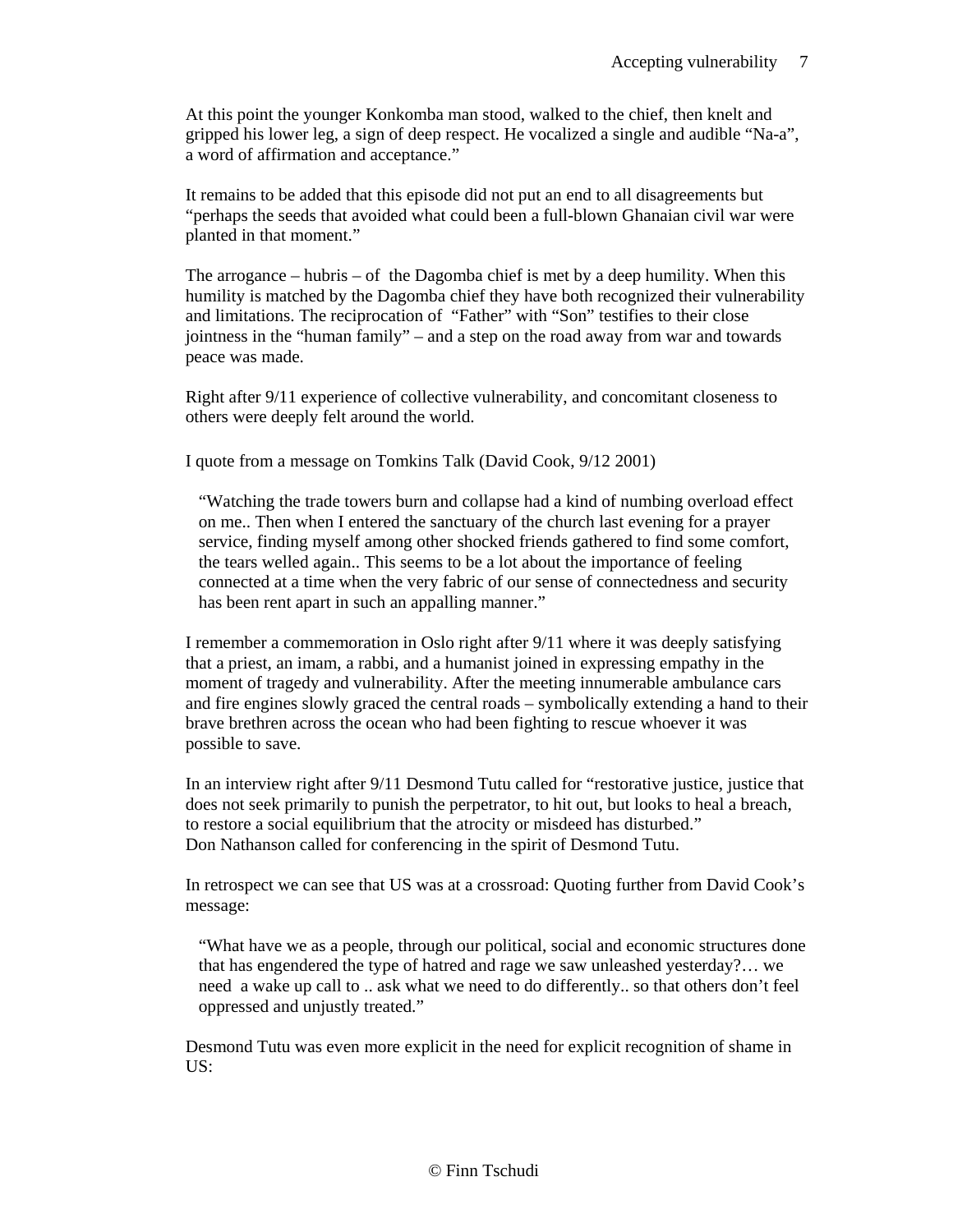At this point the younger Konkomba man stood, walked to the chief, then knelt and gripped his lower leg, a sign of deep respect. He vocalized a single and audible "Na-a", a word of affirmation and acceptance."

It remains to be added that this episode did not put an end to all disagreements but "perhaps the seeds that avoided what could been a full-blown Ghanaian civil war were planted in that moment."

The arrogance – hubris – of the Dagomba chief is met by a deep humility. When this humility is matched by the Dagomba chief they have both recognized their vulnerability and limitations. The reciprocation of "Father" with "Son" testifies to their close jointness in the "human family" – and a step on the road away from war and towards peace was made.

Right after 9/11 experience of collective vulnerability, and concomitant closeness to others were deeply felt around the world.

I quote from a message on Tomkins Talk (David Cook, 9/12 2001)

"Watching the trade towers burn and collapse had a kind of numbing overload effect on me.. Then when I entered the sanctuary of the church last evening for a prayer service, finding myself among other shocked friends gathered to find some comfort, the tears welled again.. This seems to be a lot about the importance of feeling connected at a time when the very fabric of our sense of connectedness and security has been rent apart in such an appalling manner."

I remember a commemoration in Oslo right after 9/11 where it was deeply satisfying that a priest, an imam, a rabbi, and a humanist joined in expressing empathy in the moment of tragedy and vulnerability. After the meeting innumerable ambulance cars and fire engines slowly graced the central roads – symbolically extending a hand to their brave brethren across the ocean who had been fighting to rescue whoever it was possible to save.

In an interview right after 9/11 Desmond Tutu called for "restorative justice, justice that does not seek primarily to punish the perpetrator, to hit out, but looks to heal a breach, to restore a social equilibrium that the atrocity or misdeed has disturbed." Don Nathanson called for conferencing in the spirit of Desmond Tutu.

In retrospect we can see that US was at a crossroad: Quoting further from David Cook's message:

"What have we as a people, through our political, social and economic structures done that has engendered the type of hatred and rage we saw unleashed yesterday?… we need a wake up call to .. ask what we need to do differently.. so that others don't feel oppressed and unjustly treated."

Desmond Tutu was even more explicit in the need for explicit recognition of shame in US: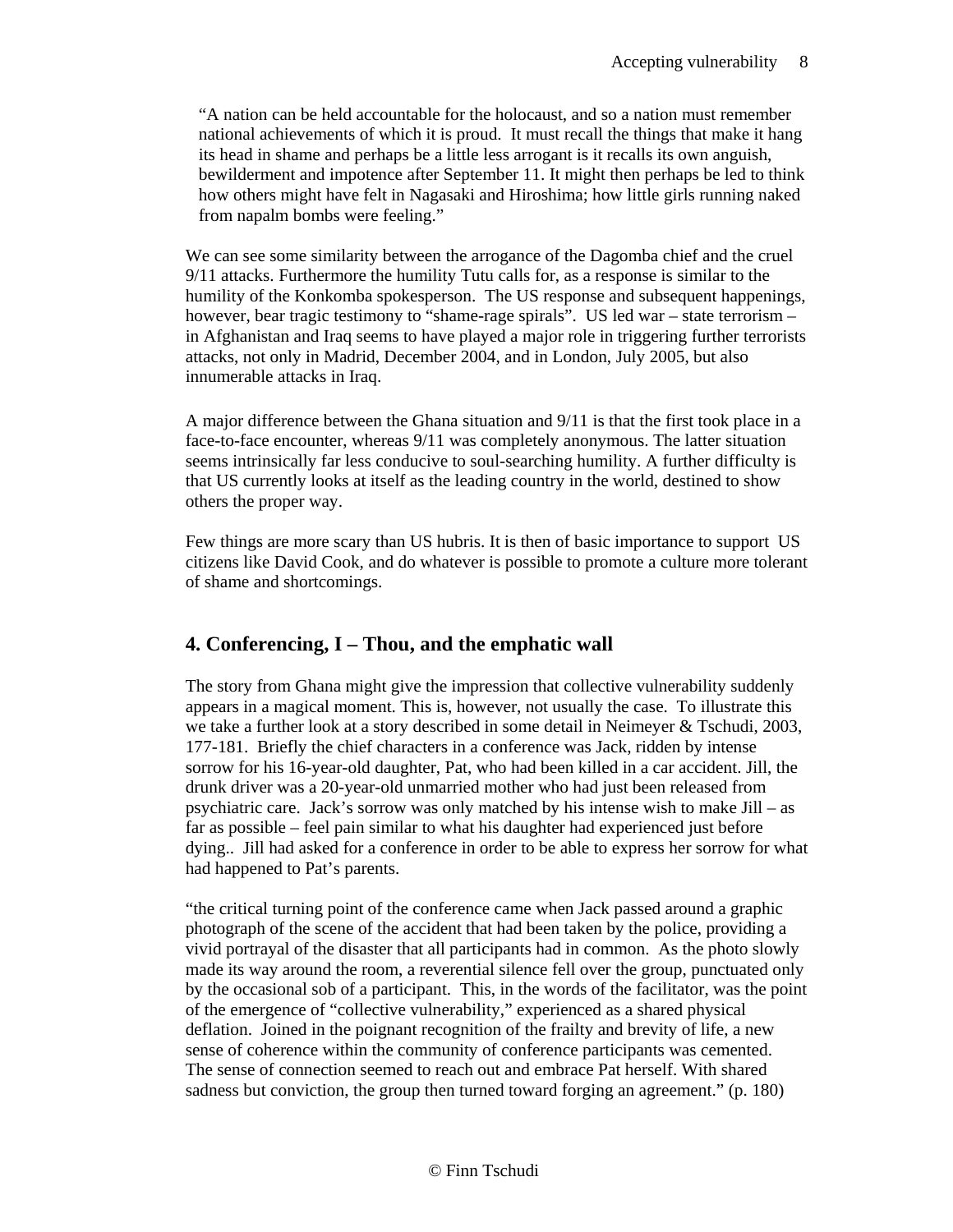"A nation can be held accountable for the holocaust, and so a nation must remember national achievements of which it is proud. It must recall the things that make it hang its head in shame and perhaps be a little less arrogant is it recalls its own anguish, bewilderment and impotence after September 11. It might then perhaps be led to think how others might have felt in Nagasaki and Hiroshima; how little girls running naked from napalm bombs were feeling."

We can see some similarity between the arrogance of the Dagomba chief and the cruel 9/11 attacks. Furthermore the humility Tutu calls for, as a response is similar to the humility of the Konkomba spokesperson. The US response and subsequent happenings, however, bear tragic testimony to "shame-rage spirals". US led war – state terrorism – in Afghanistan and Iraq seems to have played a major role in triggering further terrorists attacks, not only in Madrid, December 2004, and in London, July 2005, but also innumerable attacks in Iraq.

A major difference between the Ghana situation and 9/11 is that the first took place in a face-to-face encounter, whereas 9/11 was completely anonymous. The latter situation seems intrinsically far less conducive to soul-searching humility. A further difficulty is that US currently looks at itself as the leading country in the world, destined to show others the proper way.

Few things are more scary than US hubris. It is then of basic importance to support US citizens like David Cook, and do whatever is possible to promote a culture more tolerant of shame and shortcomings.

# **4. Conferencing, I – Thou, and the emphatic wall**

The story from Ghana might give the impression that collective vulnerability suddenly appears in a magical moment. This is, however, not usually the case. To illustrate this we take a further look at a story described in some detail in Neimeyer & Tschudi, 2003, 177-181. Briefly the chief characters in a conference was Jack, ridden by intense sorrow for his 16-year-old daughter, Pat, who had been killed in a car accident. Jill, the drunk driver was a 20-year-old unmarried mother who had just been released from psychiatric care. Jack's sorrow was only matched by his intense wish to make Jill – as far as possible – feel pain similar to what his daughter had experienced just before dying.. Jill had asked for a conference in order to be able to express her sorrow for what had happened to Pat's parents.

"the critical turning point of the conference came when Jack passed around a graphic photograph of the scene of the accident that had been taken by the police, providing a vivid portrayal of the disaster that all participants had in common. As the photo slowly made its way around the room, a reverential silence fell over the group, punctuated only by the occasional sob of a participant. This, in the words of the facilitator, was the point of the emergence of "collective vulnerability," experienced as a shared physical deflation. Joined in the poignant recognition of the frailty and brevity of life, a new sense of coherence within the community of conference participants was cemented. The sense of connection seemed to reach out and embrace Pat herself. With shared sadness but conviction, the group then turned toward forging an agreement." (p. 180)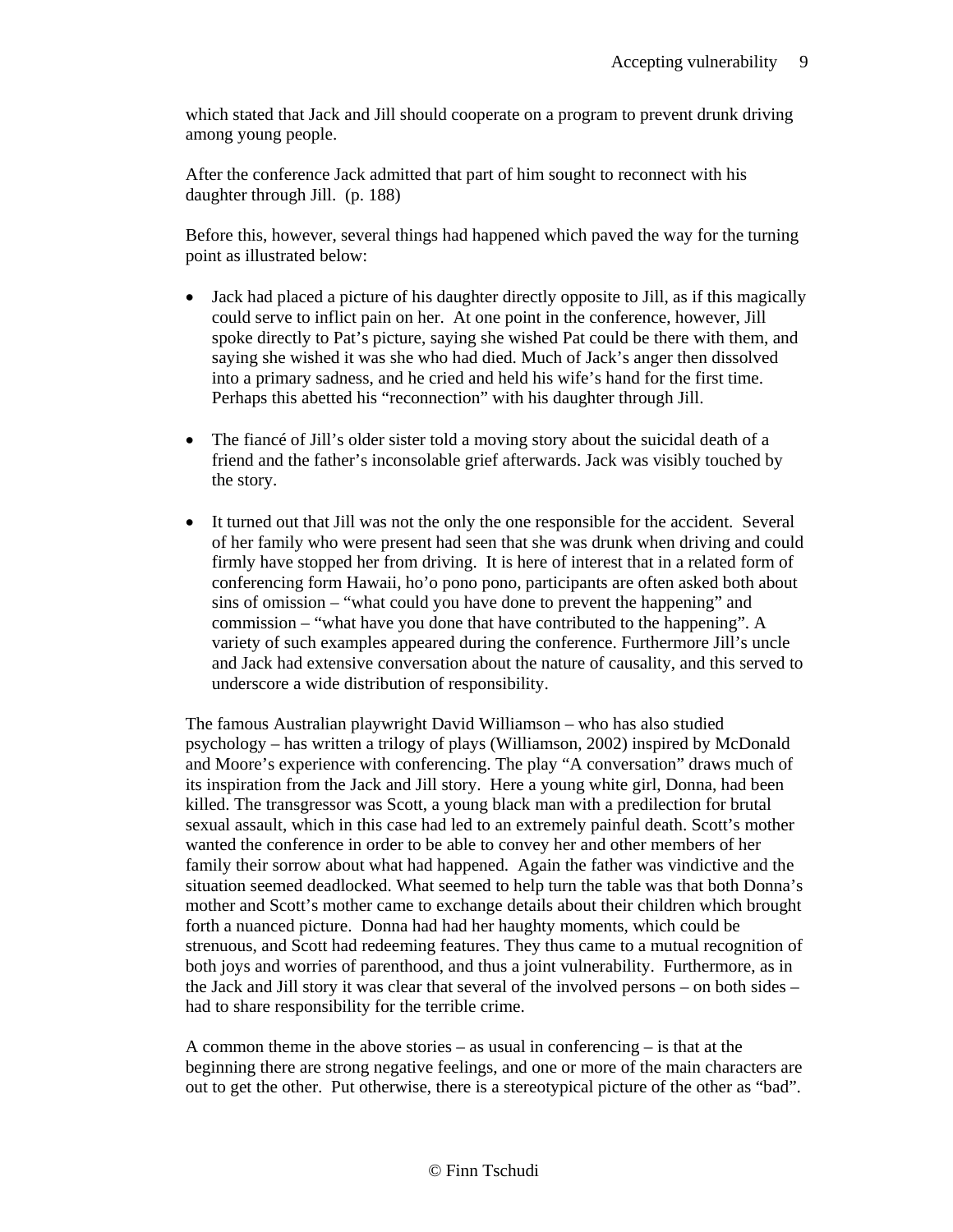which stated that Jack and Jill should cooperate on a program to prevent drunk driving among young people.

After the conference Jack admitted that part of him sought to reconnect with his daughter through Jill. (p. 188)

Before this, however, several things had happened which paved the way for the turning point as illustrated below:

- Jack had placed a picture of his daughter directly opposite to Jill, as if this magically could serve to inflict pain on her. At one point in the conference, however, Jill spoke directly to Pat's picture, saying she wished Pat could be there with them, and saying she wished it was she who had died. Much of Jack's anger then dissolved into a primary sadness, and he cried and held his wife's hand for the first time. Perhaps this abetted his "reconnection" with his daughter through Jill.
- The fiance of Jill's older sister told a moving story about the suicidal death of a friend and the father's inconsolable grief afterwards. Jack was visibly touched by the story.
- It turned out that Jill was not the only the one responsible for the accident. Several of her family who were present had seen that she was drunk when driving and could firmly have stopped her from driving. It is here of interest that in a related form of conferencing form Hawaii, ho'o pono pono, participants are often asked both about sins of omission – "what could you have done to prevent the happening" and commission – "what have you done that have contributed to the happening". A variety of such examples appeared during the conference. Furthermore Jill's uncle and Jack had extensive conversation about the nature of causality, and this served to underscore a wide distribution of responsibility.

The famous Australian playwright David Williamson – who has also studied psychology – has written a trilogy of plays (Williamson, 2002) inspired by McDonald and Moore's experience with conferencing. The play "A conversation" draws much of its inspiration from the Jack and Jill story. Here a young white girl, Donna, had been killed. The transgressor was Scott, a young black man with a predilection for brutal sexual assault, which in this case had led to an extremely painful death. Scott's mother wanted the conference in order to be able to convey her and other members of her family their sorrow about what had happened. Again the father was vindictive and the situation seemed deadlocked. What seemed to help turn the table was that both Donna's mother and Scott's mother came to exchange details about their children which brought forth a nuanced picture. Donna had had her haughty moments, which could be strenuous, and Scott had redeeming features. They thus came to a mutual recognition of both joys and worries of parenthood, and thus a joint vulnerability. Furthermore, as in the Jack and Jill story it was clear that several of the involved persons – on both sides – had to share responsibility for the terrible crime.

A common theme in the above stories – as usual in conferencing – is that at the beginning there are strong negative feelings, and one or more of the main characters are out to get the other. Put otherwise, there is a stereotypical picture of the other as "bad".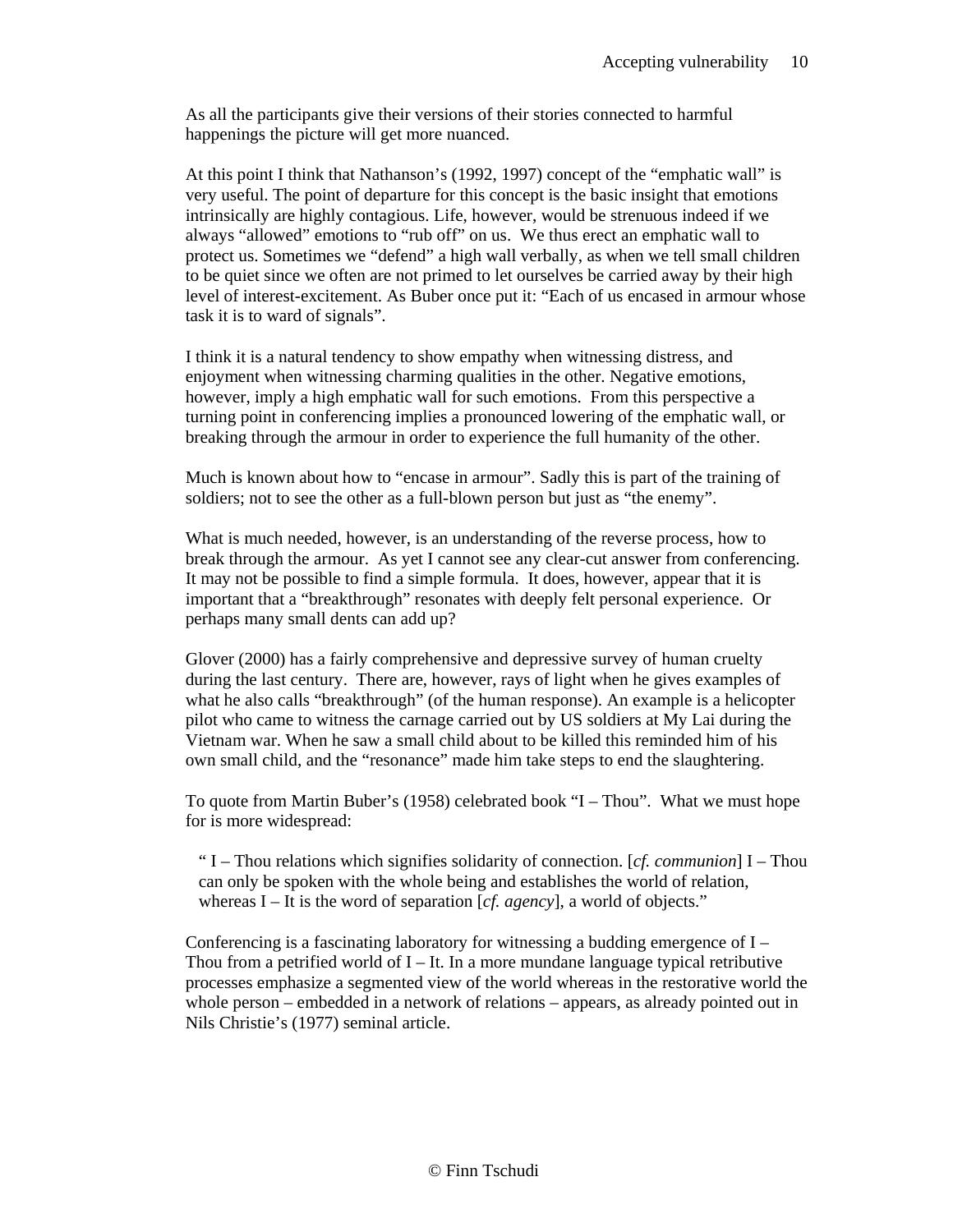As all the participants give their versions of their stories connected to harmful happenings the picture will get more nuanced.

At this point I think that Nathanson's (1992, 1997) concept of the "emphatic wall" is very useful. The point of departure for this concept is the basic insight that emotions intrinsically are highly contagious. Life, however, would be strenuous indeed if we always "allowed" emotions to "rub off" on us. We thus erect an emphatic wall to protect us. Sometimes we "defend" a high wall verbally, as when we tell small children to be quiet since we often are not primed to let ourselves be carried away by their high level of interest-excitement. As Buber once put it: "Each of us encased in armour whose task it is to ward of signals".

I think it is a natural tendency to show empathy when witnessing distress, and enjoyment when witnessing charming qualities in the other. Negative emotions, however, imply a high emphatic wall for such emotions. From this perspective a turning point in conferencing implies a pronounced lowering of the emphatic wall, or breaking through the armour in order to experience the full humanity of the other.

Much is known about how to "encase in armour". Sadly this is part of the training of soldiers; not to see the other as a full-blown person but just as "the enemy".

What is much needed, however, is an understanding of the reverse process, how to break through the armour. As yet I cannot see any clear-cut answer from conferencing. It may not be possible to find a simple formula. It does, however, appear that it is important that a "breakthrough" resonates with deeply felt personal experience. Or perhaps many small dents can add up?

Glover (2000) has a fairly comprehensive and depressive survey of human cruelty during the last century. There are, however, rays of light when he gives examples of what he also calls "breakthrough" (of the human response). An example is a helicopter pilot who came to witness the carnage carried out by US soldiers at My Lai during the Vietnam war. When he saw a small child about to be killed this reminded him of his own small child, and the "resonance" made him take steps to end the slaughtering.

To quote from Martin Buber's (1958) celebrated book "I – Thou". What we must hope for is more widespread:

" I – Thou relations which signifies solidarity of connection. [*cf. communion*] I – Thou can only be spoken with the whole being and establishes the world of relation, whereas I – It is the word of separation [*cf. agency*], a world of objects."

Conferencing is a fascinating laboratory for witnessing a budding emergence of  $I -$ Thou from a petrified world of  $I - It$ . In a more mundane language typical retributive processes emphasize a segmented view of the world whereas in the restorative world the whole person – embedded in a network of relations – appears, as already pointed out in Nils Christie's (1977) seminal article.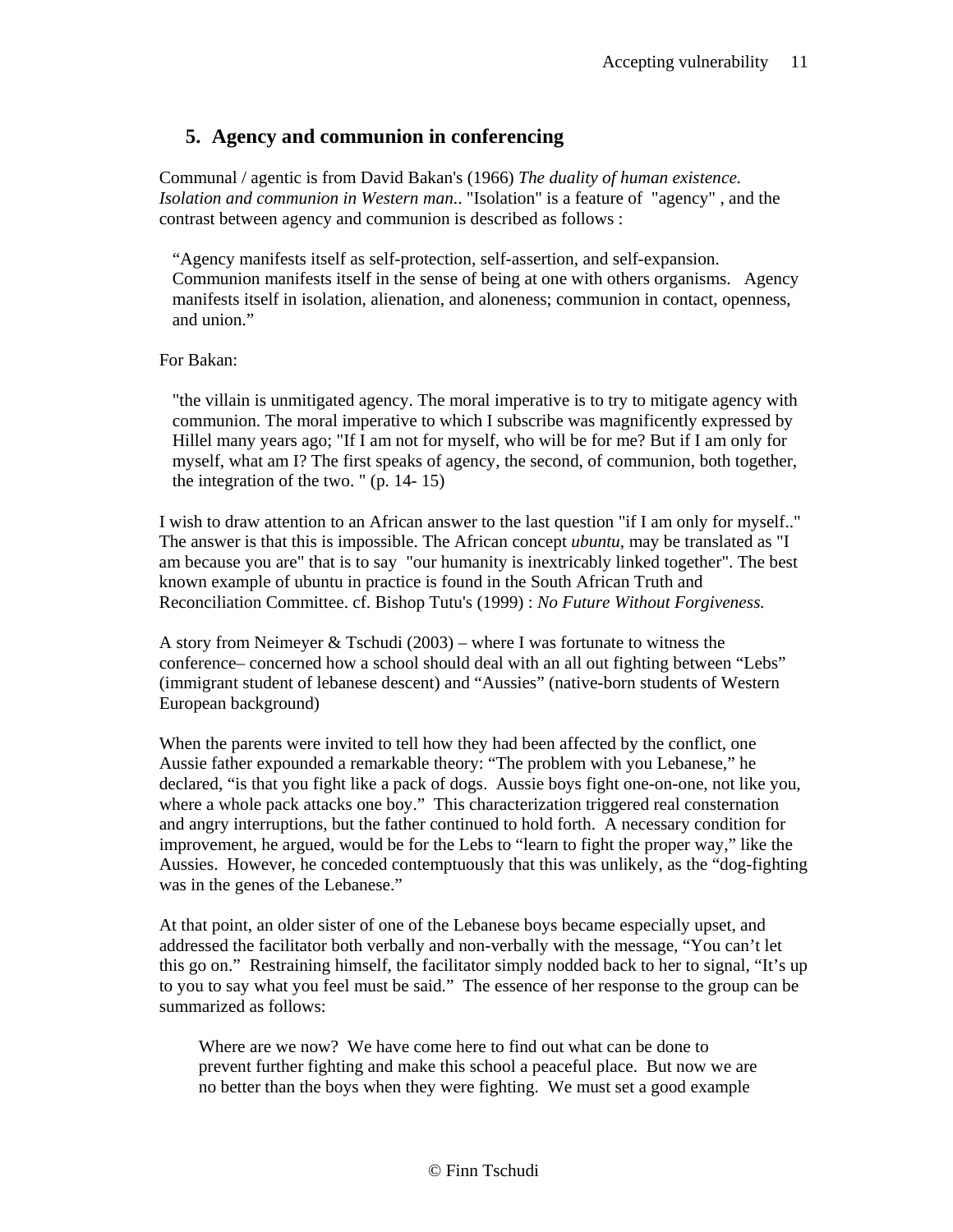### **5. Agency and communion in conferencing**

Communal / agentic is from David Bakan's (1966) *The duality of human existence. Isolation and communion in Western man*.. "Isolation" is a feature of "agency" , and the contrast between agency and communion is described as follows :

"Agency manifests itself as self-protection, self-assertion, and self-expansion. Communion manifests itself in the sense of being at one with others organisms. Agency manifests itself in isolation, alienation, and aloneness; communion in contact, openness, and union."

For Bakan:

"the villain is unmitigated agency. The moral imperative is to try to mitigate agency with communion. The moral imperative to which I subscribe was magnificently expressed by Hillel many years ago; "If I am not for myself, who will be for me? But if I am only for myself, what am I? The first speaks of agency, the second, of communion, both together, the integration of the two. " (p. 14- 15)

I wish to draw attention to an African answer to the last question "if I am only for myself.." The answer is that this is impossible. The African concept *ubuntu*, may be translated as "I am because you are" that is to say "our humanity is inextricably linked together". The best known example of ubuntu in practice is found in the South African Truth and Reconciliation Committee. cf. Bishop Tutu's (1999) : *No Future Without Forgiveness.*

A story from Neimeyer & Tschudi (2003) – where I was fortunate to witness the conference– concerned how a school should deal with an all out fighting between "Lebs" (immigrant student of lebanese descent) and "Aussies" (native-born students of Western European background)

When the parents were invited to tell how they had been affected by the conflict, one Aussie father expounded a remarkable theory: "The problem with you Lebanese," he declared, "is that you fight like a pack of dogs. Aussie boys fight one-on-one, not like you, where a whole pack attacks one boy." This characterization triggered real consternation and angry interruptions, but the father continued to hold forth. A necessary condition for improvement, he argued, would be for the Lebs to "learn to fight the proper way," like the Aussies. However, he conceded contemptuously that this was unlikely, as the "dog-fighting was in the genes of the Lebanese."

At that point, an older sister of one of the Lebanese boys became especially upset, and addressed the facilitator both verbally and non-verbally with the message, "You can't let this go on." Restraining himself, the facilitator simply nodded back to her to signal, "It's up to you to say what you feel must be said." The essence of her response to the group can be summarized as follows:

Where are we now? We have come here to find out what can be done to prevent further fighting and make this school a peaceful place. But now we are no better than the boys when they were fighting. We must set a good example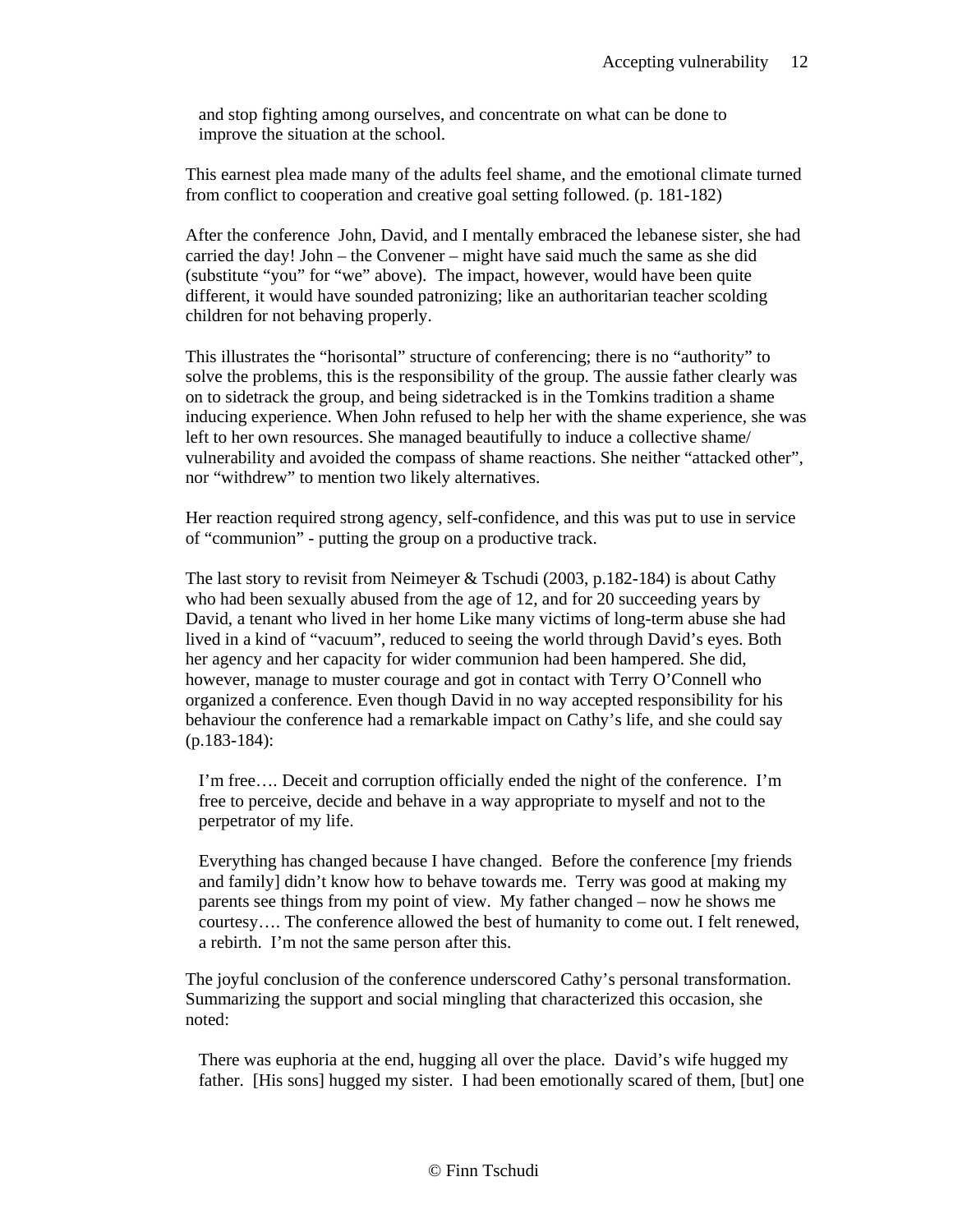and stop fighting among ourselves, and concentrate on what can be done to improve the situation at the school.

This earnest plea made many of the adults feel shame, and the emotional climate turned from conflict to cooperation and creative goal setting followed. (p. 181-182)

After the conference John, David, and I mentally embraced the lebanese sister, she had carried the day! John – the Convener – might have said much the same as she did (substitute "you" for "we" above). The impact, however, would have been quite different, it would have sounded patronizing; like an authoritarian teacher scolding children for not behaving properly.

This illustrates the "horisontal" structure of conferencing; there is no "authority" to solve the problems, this is the responsibility of the group. The aussie father clearly was on to sidetrack the group, and being sidetracked is in the Tomkins tradition a shame inducing experience. When John refused to help her with the shame experience, she was left to her own resources. She managed beautifully to induce a collective shame/ vulnerability and avoided the compass of shame reactions. She neither "attacked other", nor "withdrew" to mention two likely alternatives.

Her reaction required strong agency, self-confidence, and this was put to use in service of "communion" - putting the group on a productive track.

The last story to revisit from Neimeyer & Tschudi (2003, p.182-184) is about Cathy who had been sexually abused from the age of 12, and for 20 succeeding years by David, a tenant who lived in her home Like many victims of long-term abuse she had lived in a kind of "vacuum", reduced to seeing the world through David's eyes. Both her agency and her capacity for wider communion had been hampered. She did, however, manage to muster courage and got in contact with Terry O'Connell who organized a conference. Even though David in no way accepted responsibility for his behaviour the conference had a remarkable impact on Cathy's life, and she could say (p.183-184):

I'm free…. Deceit and corruption officially ended the night of the conference. I'm free to perceive, decide and behave in a way appropriate to myself and not to the perpetrator of my life.

Everything has changed because I have changed. Before the conference [my friends and family] didn't know how to behave towards me. Terry was good at making my parents see things from my point of view. My father changed – now he shows me courtesy…. The conference allowed the best of humanity to come out. I felt renewed, a rebirth. I'm not the same person after this.

The joyful conclusion of the conference underscored Cathy's personal transformation. Summarizing the support and social mingling that characterized this occasion, she noted:

There was euphoria at the end, hugging all over the place. David's wife hugged my father. [His sons] hugged my sister. I had been emotionally scared of them, [but] one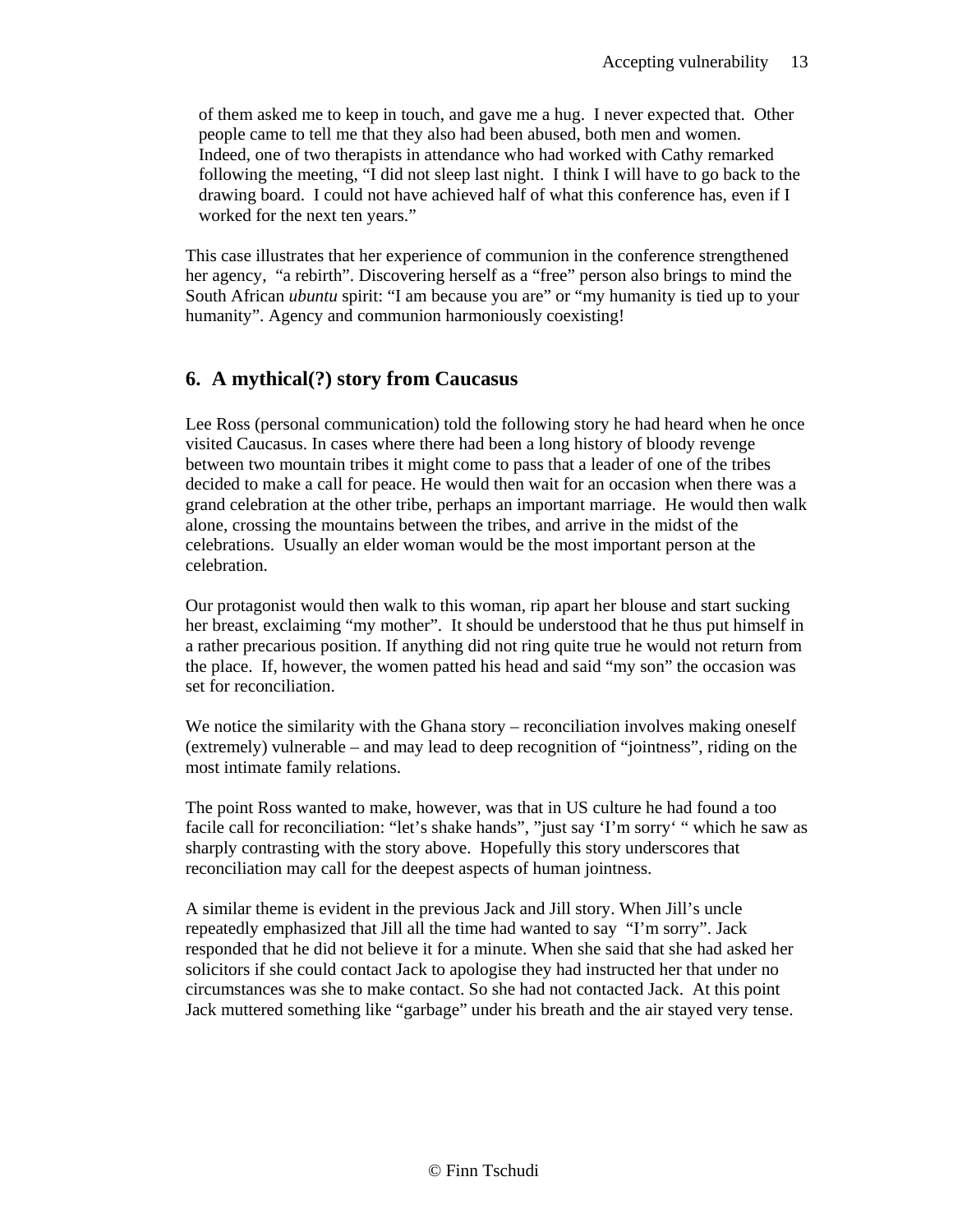of them asked me to keep in touch, and gave me a hug. I never expected that. Other people came to tell me that they also had been abused, both men and women. Indeed, one of two therapists in attendance who had worked with Cathy remarked following the meeting, "I did not sleep last night. I think I will have to go back to the drawing board. I could not have achieved half of what this conference has, even if I worked for the next ten years."

This case illustrates that her experience of communion in the conference strengthened her agency, "a rebirth". Discovering herself as a "free" person also brings to mind the South African *ubuntu* spirit: "I am because you are" or "my humanity is tied up to your humanity". Agency and communion harmoniously coexisting!

# **6. A mythical(?) story from Caucasus**

Lee Ross (personal communication) told the following story he had heard when he once visited Caucasus. In cases where there had been a long history of bloody revenge between two mountain tribes it might come to pass that a leader of one of the tribes decided to make a call for peace. He would then wait for an occasion when there was a grand celebration at the other tribe, perhaps an important marriage. He would then walk alone, crossing the mountains between the tribes, and arrive in the midst of the celebrations. Usually an elder woman would be the most important person at the celebration.

Our protagonist would then walk to this woman, rip apart her blouse and start sucking her breast, exclaiming "my mother". It should be understood that he thus put himself in a rather precarious position. If anything did not ring quite true he would not return from the place. If, however, the women patted his head and said "my son" the occasion was set for reconciliation.

We notice the similarity with the Ghana story – reconciliation involves making oneself (extremely) vulnerable – and may lead to deep recognition of "jointness", riding on the most intimate family relations.

The point Ross wanted to make, however, was that in US culture he had found a too facile call for reconciliation: "let's shake hands", "just say 'I'm sorry' " which he saw as sharply contrasting with the story above. Hopefully this story underscores that reconciliation may call for the deepest aspects of human jointness.

A similar theme is evident in the previous Jack and Jill story. When Jill's uncle repeatedly emphasized that Jill all the time had wanted to say "I'm sorry". Jack responded that he did not believe it for a minute. When she said that she had asked her solicitors if she could contact Jack to apologise they had instructed her that under no circumstances was she to make contact. So she had not contacted Jack. At this point Jack muttered something like "garbage" under his breath and the air stayed very tense.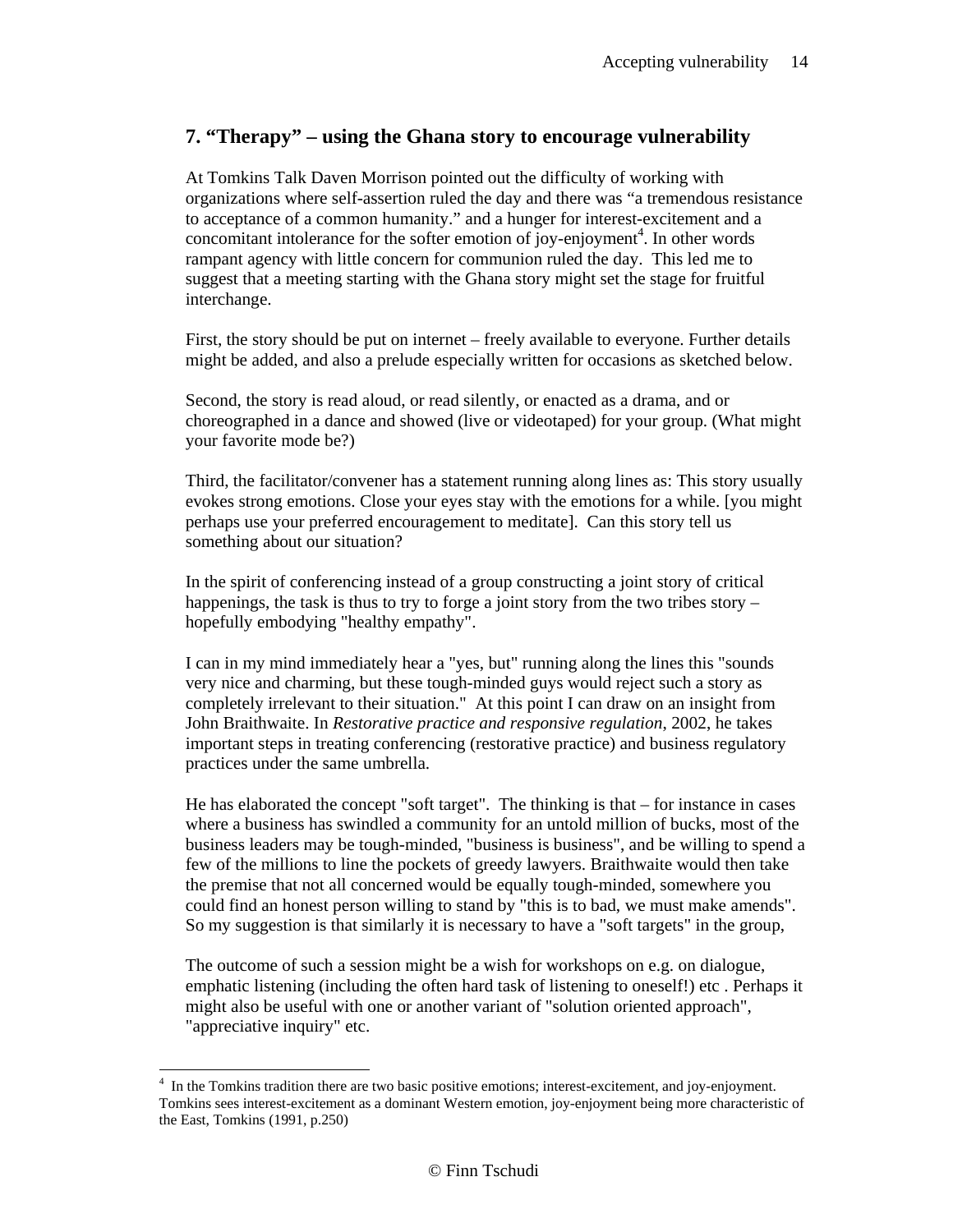# **7. "Therapy" – using the Ghana story to encourage vulnerability**

At Tomkins Talk Daven Morrison pointed out the difficulty of working with organizations where self-assertion ruled the day and there was "a tremendous resistance to acceptance of a common humanity." and a hunger for interest-excitement and a concomitant intolerance for the softer emotion of joy-enjoyment<sup>4</sup>. In other words rampant agency with little concern for communion ruled the day. This led me to suggest that a meeting starting with the Ghana story might set the stage for fruitful interchange.

First, the story should be put on internet – freely available to everyone. Further details might be added, and also a prelude especially written for occasions as sketched below.

Second, the story is read aloud, or read silently, or enacted as a drama, and or choreographed in a dance and showed (live or videotaped) for your group. (What might your favorite mode be?)

Third, the facilitator/convener has a statement running along lines as: This story usually evokes strong emotions. Close your eyes stay with the emotions for a while. [you might perhaps use your preferred encouragement to meditate]. Can this story tell us something about our situation?

In the spirit of conferencing instead of a group constructing a joint story of critical happenings, the task is thus to try to forge a joint story from the two tribes story – hopefully embodying "healthy empathy".

I can in my mind immediately hear a "yes, but" running along the lines this "sounds very nice and charming, but these tough-minded guys would reject such a story as completely irrelevant to their situation." At this point I can draw on an insight from John Braithwaite. In *Restorative practice and responsive regulation*, 2002, he takes important steps in treating conferencing (restorative practice) and business regulatory practices under the same umbrella.

He has elaborated the concept "soft target". The thinking is that – for instance in cases where a business has swindled a community for an untold million of bucks, most of the business leaders may be tough-minded, "business is business", and be willing to spend a few of the millions to line the pockets of greedy lawyers. Braithwaite would then take the premise that not all concerned would be equally tough-minded, somewhere you could find an honest person willing to stand by "this is to bad, we must make amends". So my suggestion is that similarly it is necessary to have a "soft targets" in the group,

The outcome of such a session might be a wish for workshops on e.g. on dialogue, emphatic listening (including the often hard task of listening to oneself!) etc . Perhaps it might also be useful with one or another variant of "solution oriented approach", "appreciative inquiry" etc.

 $\overline{a}$ 

<sup>&</sup>lt;sup>4</sup> In the Tomkins tradition there are two basic positive emotions; interest-excitement, and joy-enjoyment. Tomkins sees interest-excitement as a dominant Western emotion, joy-enjoyment being more characteristic of the East, Tomkins (1991, p.250)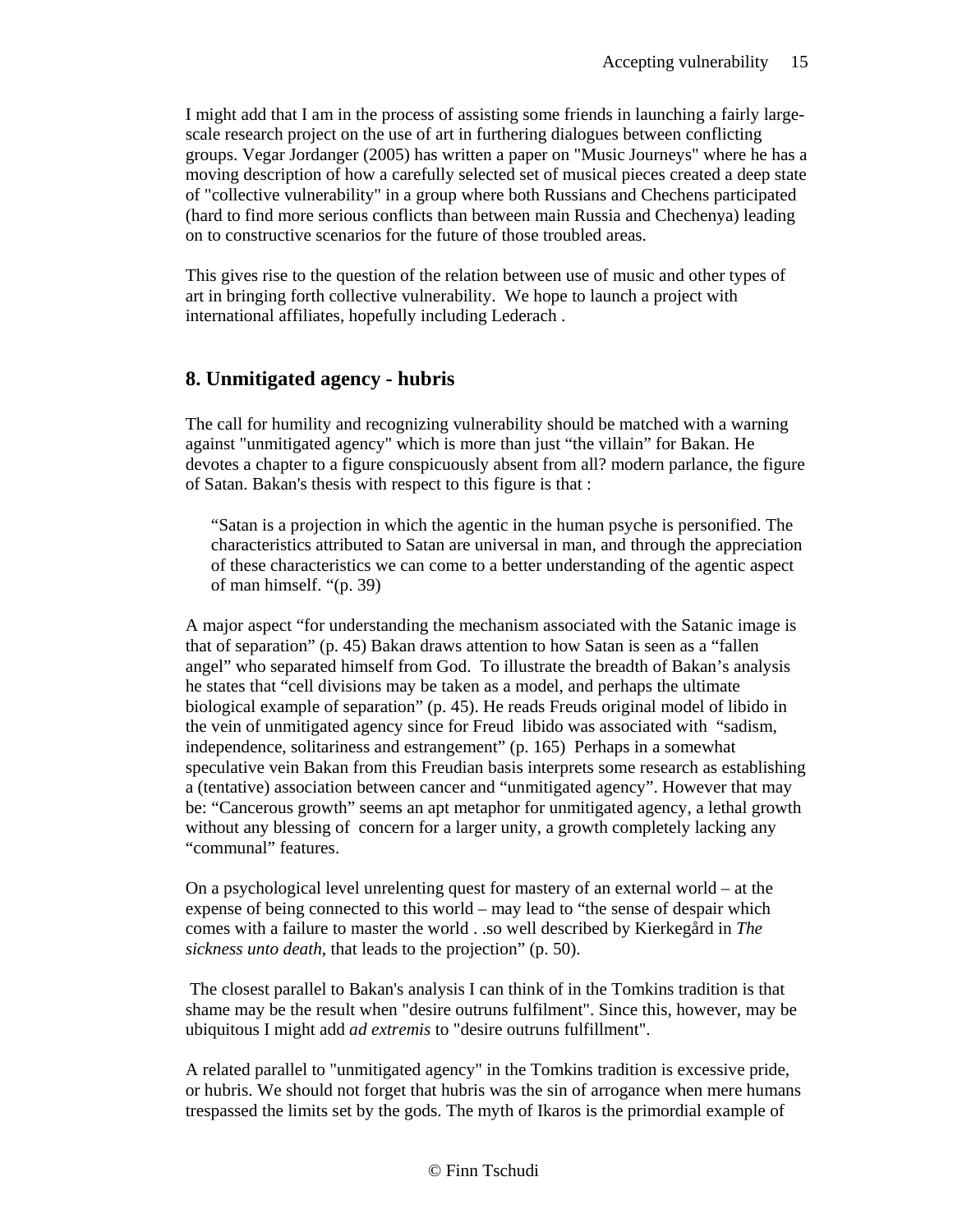I might add that I am in the process of assisting some friends in launching a fairly largescale research project on the use of art in furthering dialogues between conflicting groups. Vegar Jordanger (2005) has written a paper on "Music Journeys" where he has a moving description of how a carefully selected set of musical pieces created a deep state of "collective vulnerability" in a group where both Russians and Chechens participated (hard to find more serious conflicts than between main Russia and Chechenya) leading on to constructive scenarios for the future of those troubled areas.

This gives rise to the question of the relation between use of music and other types of art in bringing forth collective vulnerability. We hope to launch a project with international affiliates, hopefully including Lederach .

#### **8. Unmitigated agency - hubris**

The call for humility and recognizing vulnerability should be matched with a warning against "unmitigated agency" which is more than just "the villain" for Bakan. He devotes a chapter to a figure conspicuously absent from all? modern parlance, the figure of Satan. Bakan's thesis with respect to this figure is that :

"Satan is a projection in which the agentic in the human psyche is personified. The characteristics attributed to Satan are universal in man, and through the appreciation of these characteristics we can come to a better understanding of the agentic aspect of man himself. "(p. 39)

A major aspect "for understanding the mechanism associated with the Satanic image is that of separation" (p. 45) Bakan draws attention to how Satan is seen as a "fallen angel" who separated himself from God. To illustrate the breadth of Bakan's analysis he states that "cell divisions may be taken as a model, and perhaps the ultimate biological example of separation" (p. 45). He reads Freuds original model of libido in the vein of unmitigated agency since for Freud libido was associated with "sadism, independence, solitariness and estrangement" (p. 165) Perhaps in a somewhat speculative vein Bakan from this Freudian basis interprets some research as establishing a (tentative) association between cancer and "unmitigated agency". However that may be: "Cancerous growth" seems an apt metaphor for unmitigated agency, a lethal growth without any blessing of concern for a larger unity, a growth completely lacking any "communal" features.

On a psychological level unrelenting quest for mastery of an external world – at the expense of being connected to this world – may lead to "the sense of despair which comes with a failure to master the world . .so well described by Kierkegård in *The sickness unto death*, that leads to the projection" (p. 50).

 The closest parallel to Bakan's analysis I can think of in the Tomkins tradition is that shame may be the result when "desire outruns fulfilment". Since this, however, may be ubiquitous I might add *ad extremis* to "desire outruns fulfillment".

A related parallel to "unmitigated agency" in the Tomkins tradition is excessive pride, or hubris. We should not forget that hubris was the sin of arrogance when mere humans trespassed the limits set by the gods. The myth of Ikaros is the primordial example of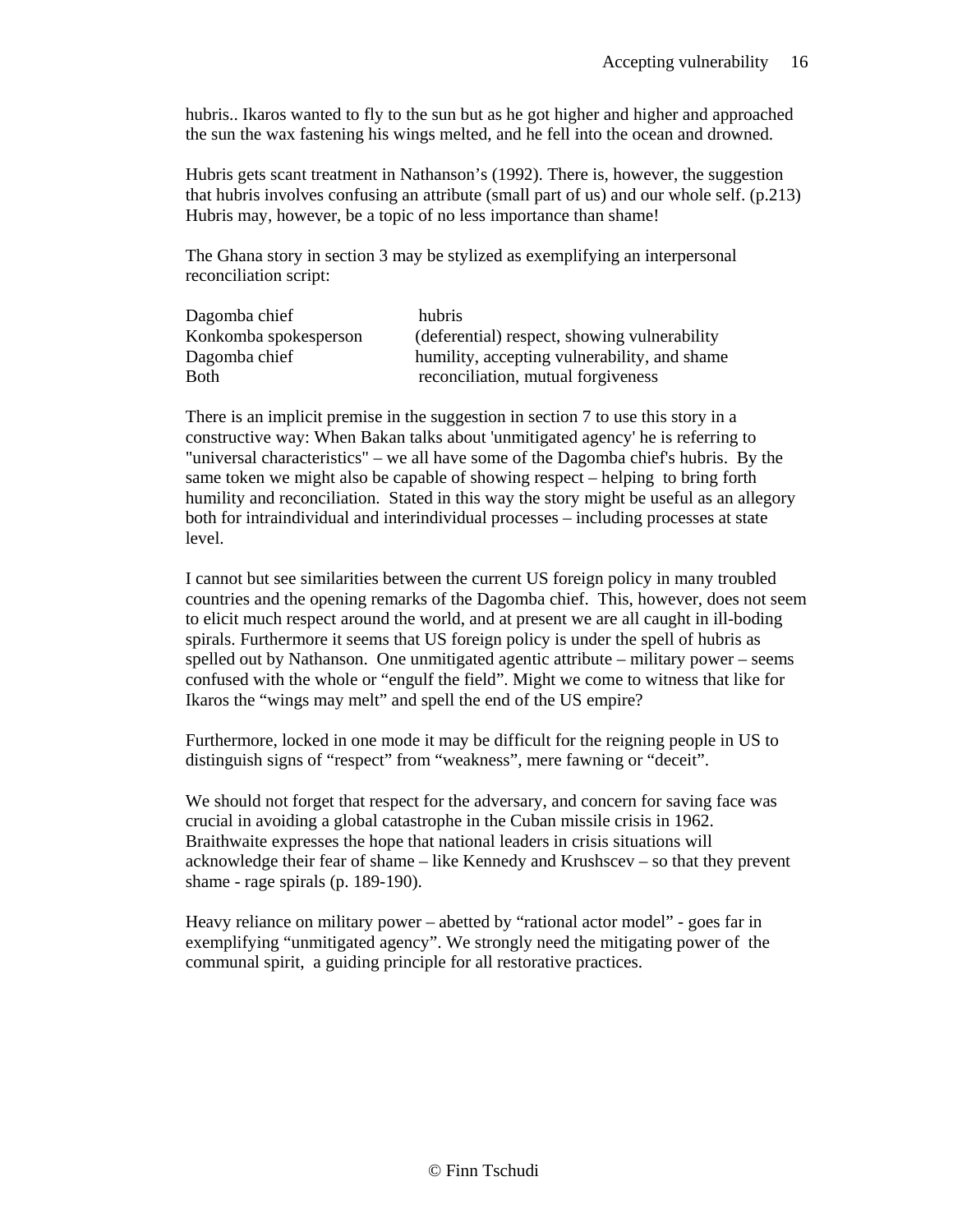hubris.. Ikaros wanted to fly to the sun but as he got higher and higher and approached the sun the wax fastening his wings melted, and he fell into the ocean and drowned.

Hubris gets scant treatment in Nathanson's (1992). There is, however, the suggestion that hubris involves confusing an attribute (small part of us) and our whole self. (p.213) Hubris may, however, be a topic of no less importance than shame!

The Ghana story in section 3 may be stylized as exemplifying an interpersonal reconciliation script:

| Dagomba chief         | hubris                                       |
|-----------------------|----------------------------------------------|
| Konkomba spokesperson | (deferential) respect, showing vulnerability |
| Dagomba chief         | humility, accepting vulnerability, and shame |
| <b>Both</b>           | reconciliation, mutual forgiveness           |

There is an implicit premise in the suggestion in section 7 to use this story in a constructive way: When Bakan talks about 'unmitigated agency' he is referring to "universal characteristics" – we all have some of the Dagomba chief's hubris. By the same token we might also be capable of showing respect – helping to bring forth humility and reconciliation. Stated in this way the story might be useful as an allegory both for intraindividual and interindividual processes – including processes at state level.

I cannot but see similarities between the current US foreign policy in many troubled countries and the opening remarks of the Dagomba chief. This, however, does not seem to elicit much respect around the world, and at present we are all caught in ill-boding spirals. Furthermore it seems that US foreign policy is under the spell of hubris as spelled out by Nathanson. One unmitigated agentic attribute – military power – seems confused with the whole or "engulf the field". Might we come to witness that like for Ikaros the "wings may melt" and spell the end of the US empire?

Furthermore, locked in one mode it may be difficult for the reigning people in US to distinguish signs of "respect" from "weakness", mere fawning or "deceit".

We should not forget that respect for the adversary, and concern for saving face was crucial in avoiding a global catastrophe in the Cuban missile crisis in 1962. Braithwaite expresses the hope that national leaders in crisis situations will acknowledge their fear of shame – like Kennedy and Krushscev – so that they prevent shame - rage spirals (p. 189-190).

Heavy reliance on military power – abetted by "rational actor model" - goes far in exemplifying "unmitigated agency". We strongly need the mitigating power of the communal spirit, a guiding principle for all restorative practices.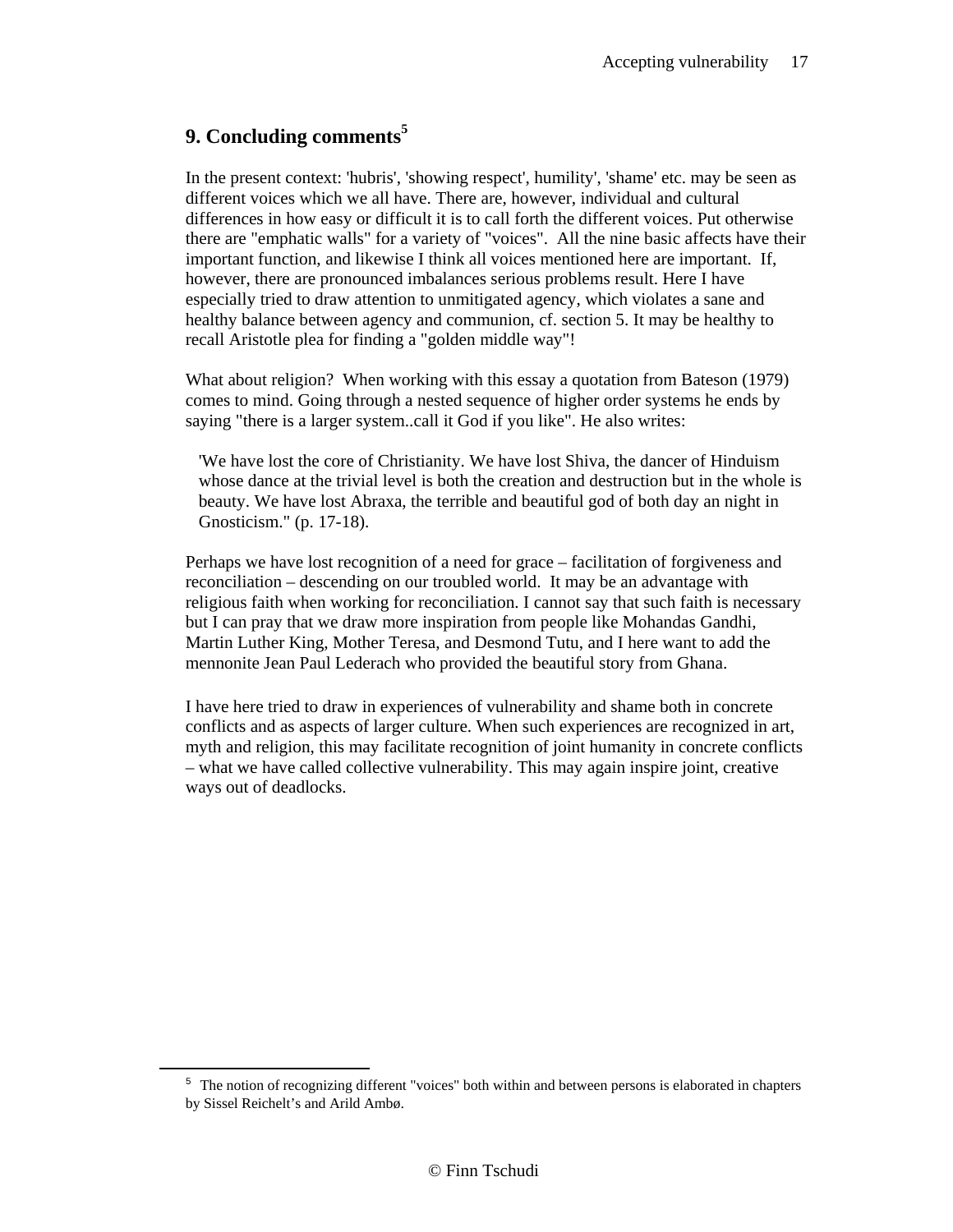# **9. Concluding comments<sup>5</sup>**

 $\overline{a}$ 

In the present context: 'hubris', 'showing respect', humility', 'shame' etc. may be seen as different voices which we all have. There are, however, individual and cultural differences in how easy or difficult it is to call forth the different voices. Put otherwise there are "emphatic walls" for a variety of "voices". All the nine basic affects have their important function, and likewise I think all voices mentioned here are important. If, however, there are pronounced imbalances serious problems result. Here I have especially tried to draw attention to unmitigated agency, which violates a sane and healthy balance between agency and communion, cf. section 5. It may be healthy to recall Aristotle plea for finding a "golden middle way"!

What about religion? When working with this essay a quotation from Bateson (1979) comes to mind. Going through a nested sequence of higher order systems he ends by saying "there is a larger system..call it God if you like". He also writes:

'We have lost the core of Christianity. We have lost Shiva, the dancer of Hinduism whose dance at the trivial level is both the creation and destruction but in the whole is beauty. We have lost Abraxa, the terrible and beautiful god of both day an night in Gnosticism." (p. 17-18).

Perhaps we have lost recognition of a need for grace – facilitation of forgiveness and reconciliation – descending on our troubled world. It may be an advantage with religious faith when working for reconciliation. I cannot say that such faith is necessary but I can pray that we draw more inspiration from people like Mohandas Gandhi, Martin Luther King, Mother Teresa, and Desmond Tutu, and I here want to add the mennonite Jean Paul Lederach who provided the beautiful story from Ghana.

I have here tried to draw in experiences of vulnerability and shame both in concrete conflicts and as aspects of larger culture. When such experiences are recognized in art, myth and religion, this may facilitate recognition of joint humanity in concrete conflicts – what we have called collective vulnerability. This may again inspire joint, creative ways out of deadlocks.

<sup>&</sup>lt;sup>5</sup> The notion of recognizing different "voices" both within and between persons is elaborated in chapters by Sissel Reichelt's and Arild Ambø.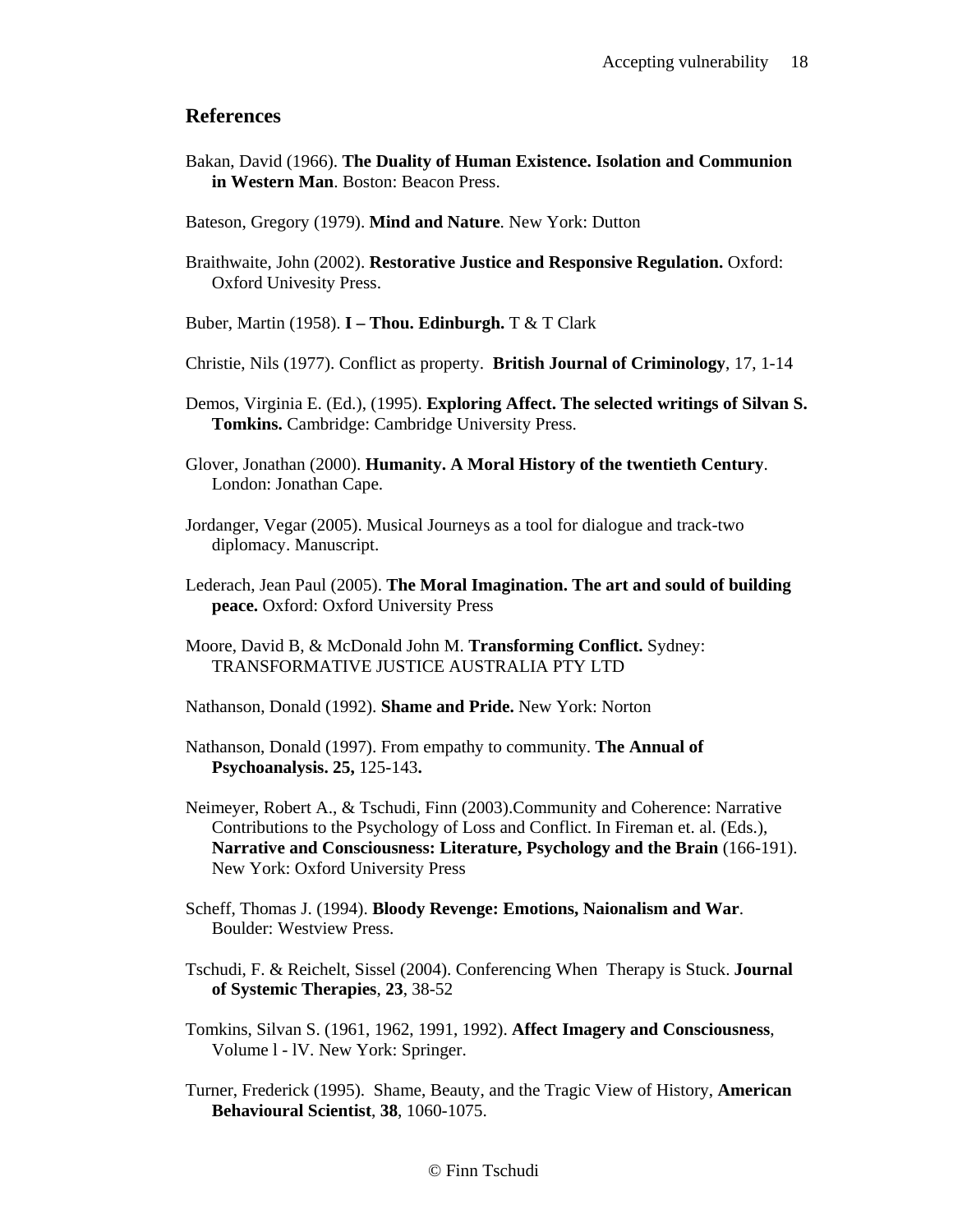#### **References**

- Bakan, David (1966). **The Duality of Human Existence. Isolation and Communion in Western Man**. Boston: Beacon Press.
- Bateson, Gregory (1979). **Mind and Nature**. New York: Dutton
- Braithwaite, John (2002). **Restorative Justice and Responsive Regulation.** Oxford: Oxford Univesity Press.
- Buber, Martin (1958). **I Thou. Edinburgh.** T & T Clark
- Christie, Nils (1977). Conflict as property. **British Journal of Criminology**, 17, 1-14
- Demos, Virginia E. (Ed.), (1995). **Exploring Affect. The selected writings of Silvan S. Tomkins.** Cambridge: Cambridge University Press.
- Glover, Jonathan (2000). **Humanity. A Moral History of the twentieth Century**. London: Jonathan Cape.
- Jordanger, Vegar (2005). Musical Journeys as a tool for dialogue and track-two diplomacy. Manuscript.
- Lederach, Jean Paul (2005). **The Moral Imagination. The art and sould of building peace.** Oxford: Oxford University Press
- Moore, David B, & McDonald John M. **Transforming Conflict.** Sydney: TRANSFORMATIVE JUSTICE AUSTRALIA PTY LTD
- Nathanson, Donald (1992). **Shame and Pride.** New York: Norton
- Nathanson, Donald (1997). From empathy to community. **The Annual of Psychoanalysis. 25,** 125-143**.**
- Neimeyer, Robert A., & Tschudi, Finn (2003).Community and Coherence: Narrative Contributions to the Psychology of Loss and Conflict. In Fireman et. al. (Eds.), **Narrative and Consciousness: Literature, Psychology and the Brain** (166-191). New York: Oxford University Press
- Scheff, Thomas J. (1994). **Bloody Revenge: Emotions, Naionalism and War**. Boulder: Westview Press.
- Tschudi, F. & Reichelt, Sissel (2004). Conferencing When Therapy is Stuck. **Journal of Systemic Therapies**, **23**, 38-52
- Tomkins, Silvan S. (1961, 1962, 1991, 1992). **Affect Imagery and Consciousness**, Volume l - lV. New York: Springer.
- Turner, Frederick (1995). Shame, Beauty, and the Tragic View of History, **American Behavioural Scientist**, **38**, 1060-1075.